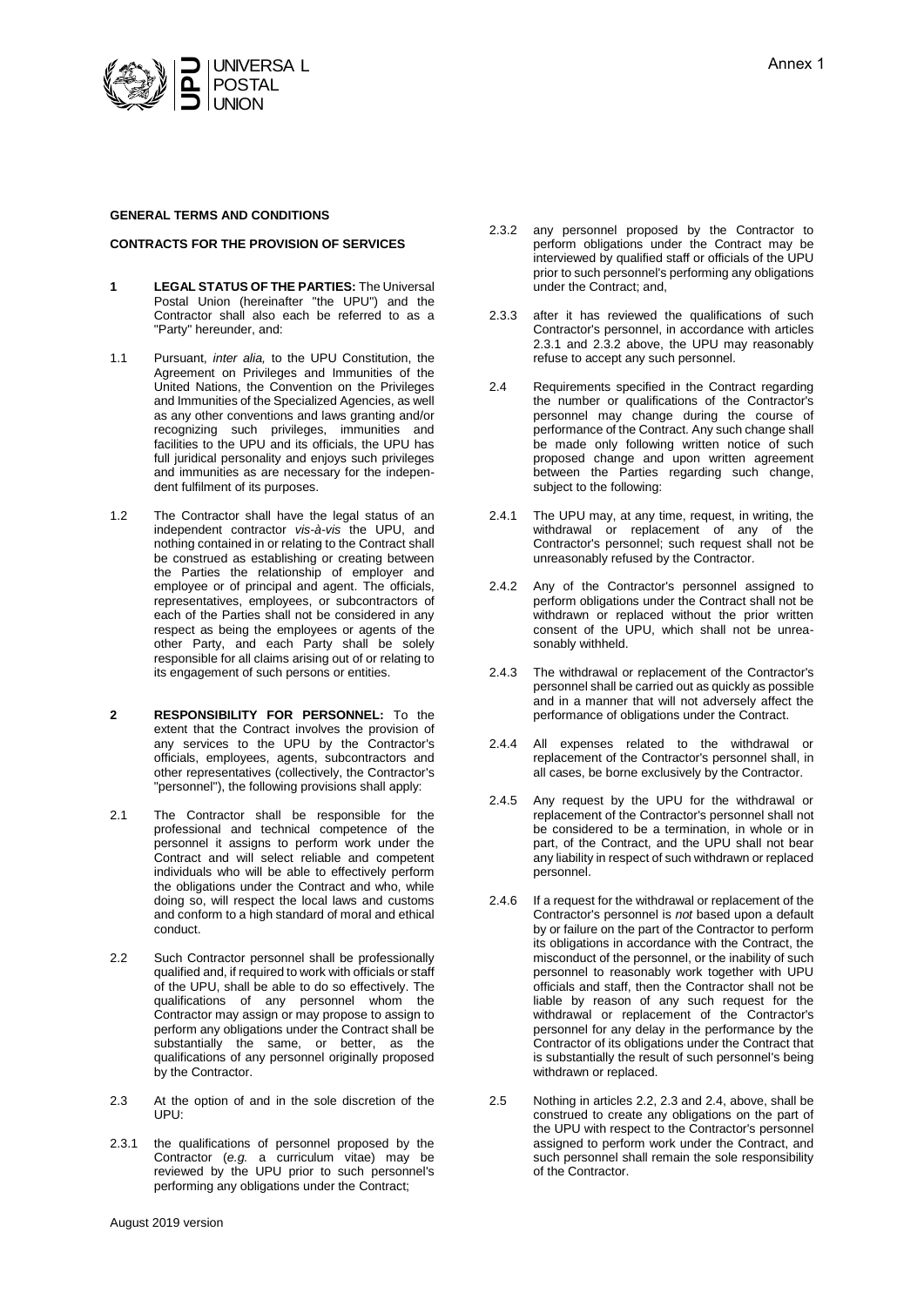

#### **GENERAL TERMS AND CONDITIONS**

### **CONTRACTS FOR THE PROVISION OF SERVICES**

- **1 LEGAL STATUS OF THE PARTIES:** The Universal Postal Union (hereinafter "the UPU") and the Contractor shall also each be referred to as a "Party" hereunder, and:
- 1.1 Pursuant, *inter alia,* to the UPU Constitution, the Agreement on Privileges and Immunities of the United Nations, the Convention on the Privileges and Immunities of the Specialized Agencies, as well as any other conventions and laws granting and/or recognizing such privileges, immunities and facilities to the UPU and its officials, the UPU has full juridical personality and enjoys such privileges and immunities as are necessary for the independent fulfilment of its purposes.
- 1.2 The Contractor shall have the legal status of an independent contractor *vis-à-vis* the UPU, and nothing contained in or relating to the Contract shall be construed as establishing or creating between the Parties the relationship of employer and employee or of principal and agent. The officials, representatives, employees, or subcontractors of each of the Parties shall not be considered in any respect as being the employees or agents of the other Party, and each Party shall be solely responsible for all claims arising out of or relating to its engagement of such persons or entities.
- **2 RESPONSIBILITY FOR PERSONNEL:** To the extent that the Contract involves the provision of any services to the UPU by the Contractor's officials, employees, agents, subcontractors and other representatives (collectively, the Contractor's "personnel"), the following provisions shall apply:
- 2.1 The Contractor shall be responsible for the professional and technical competence of the personnel it assigns to perform work under the Contract and will select reliable and competent individuals who will be able to effectively perform the obligations under the Contract and who, while doing so, will respect the local laws and customs and conform to a high standard of moral and ethical conduct.
- 2.2 Such Contractor personnel shall be professionally qualified and, if required to work with officials or staff of the UPU, shall be able to do so effectively. The qualifications of any personnel whom the Contractor may assign or may propose to assign to perform any obligations under the Contract shall be substantially the same, or better, as the qualifications of any personnel originally proposed by the Contractor.
- 2.3 At the option of and in the sole discretion of the UPU:
- 2.3.1 the qualifications of personnel proposed by the Contractor (*e.g.* a curriculum vitae) may be reviewed by the UPU prior to such personnel's performing any obligations under the Contract;
- August 2019 version
- 2.3.2 any personnel proposed by the Contractor to perform obligations under the Contract may be interviewed by qualified staff or officials of the UPU prior to such personnel's performing any obligations under the Contract; and,
- 2.3.3 after it has reviewed the qualifications of such Contractor's personnel, in accordance with articles 2.3.1 and 2.3.2 above, the UPU may reasonably refuse to accept any such personnel.
- 2.4 Requirements specified in the Contract regarding the number or qualifications of the Contractor's personnel may change during the course of performance of the Contract. Any such change shall be made only following written notice of such proposed change and upon written agreement between the Parties regarding such change, subject to the following:
- 2.4.1 The UPU may, at any time, request, in writing, the withdrawal or replacement of any of the Contractor's personnel; such request shall not be unreasonably refused by the Contractor.
- 2.4.2 Any of the Contractor's personnel assigned to perform obligations under the Contract shall not be withdrawn or replaced without the prior written consent of the UPU, which shall not be unreasonably withheld.
- 2.4.3 The withdrawal or replacement of the Contractor's personnel shall be carried out as quickly as possible and in a manner that will not adversely affect the performance of obligations under the Contract.
- 2.4.4 All expenses related to the withdrawal or replacement of the Contractor's personnel shall, in all cases, be borne exclusively by the Contractor.
- 2.4.5 Any request by the UPU for the withdrawal or replacement of the Contractor's personnel shall not be considered to be a termination, in whole or in part, of the Contract, and the UPU shall not bear any liability in respect of such withdrawn or replaced personnel.
- 2.4.6 If a request for the withdrawal or replacement of the Contractor's personnel is *not* based upon a default by or failure on the part of the Contractor to perform its obligations in accordance with the Contract, the misconduct of the personnel, or the inability of such personnel to reasonably work together with UPU officials and staff, then the Contractor shall not be liable by reason of any such request for the withdrawal or replacement of the Contractor's personnel for any delay in the performance by the Contractor of its obligations under the Contract that is substantially the result of such personnel's being withdrawn or replaced.
- 2.5 Nothing in articles 2.2, 2.3 and 2.4, above, shall be construed to create any obligations on the part of the UPU with respect to the Contractor's personnel assigned to perform work under the Contract, and such personnel shall remain the sole responsibility of the Contractor.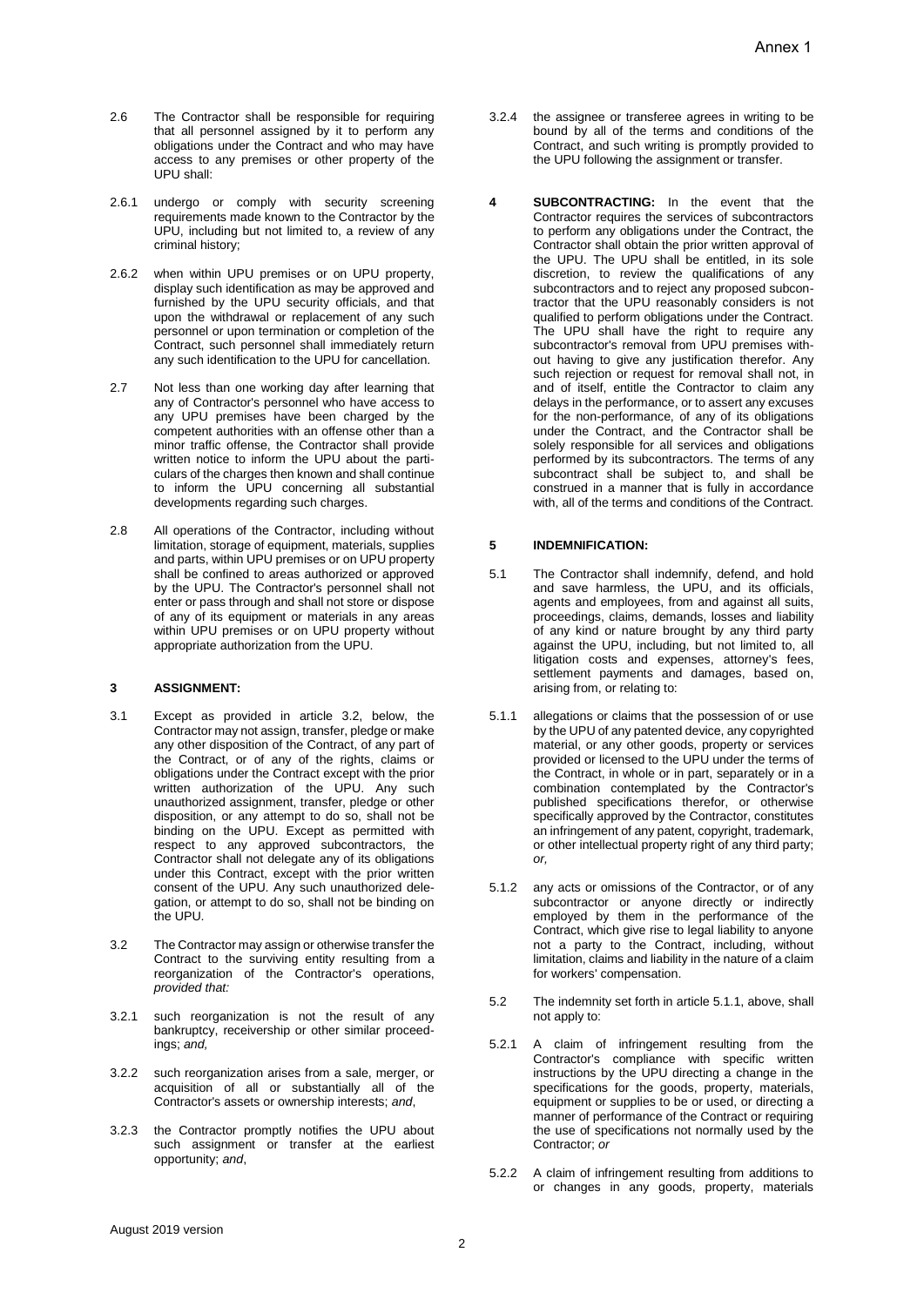- 2.6 The Contractor shall be responsible for requiring that all personnel assigned by it to perform any obligations under the Contract and who may have access to any premises or other property of the UPU shall:
- 2.6.1 undergo or comply with security screening requirements made known to the Contractor by the UPU, including but not limited to, a review of any criminal history;
- 2.6.2 when within UPU premises or on UPU property, display such identification as may be approved and furnished by the UPU security officials, and that upon the withdrawal or replacement of any such personnel or upon termination or completion of the Contract, such personnel shall immediately return any such identification to the UPU for cancellation.
- 2.7 Not less than one working day after learning that any of Contractor's personnel who have access to any UPU premises have been charged by the competent authorities with an offense other than a minor traffic offense, the Contractor shall provide written notice to inform the UPU about the particulars of the charges then known and shall continue to inform the UPU concerning all substantial developments regarding such charges.
- 2.8 All operations of the Contractor, including without limitation, storage of equipment, materials, supplies and parts, within UPU premises or on UPU property shall be confined to areas authorized or approved by the UPU. The Contractor's personnel shall not enter or pass through and shall not store or dispose of any of its equipment or materials in any areas within UPU premises or on UPU property without appropriate authorization from the UPU.

## **3 ASSIGNMENT:**

- 3.1 Except as provided in article 3.2, below, the Contractor may not assign, transfer, pledge or make any other disposition of the Contract, of any part of the Contract, or of any of the rights, claims or obligations under the Contract except with the prior written authorization of the UPU. Any such unauthorized assignment, transfer, pledge or other disposition, or any attempt to do so, shall not be binding on the UPU. Except as permitted with respect to any approved subcontractors, the Contractor shall not delegate any of its obligations under this Contract, except with the prior written consent of the UPU. Any such unauthorized delegation, or attempt to do so, shall not be binding on the UPU.
- 3.2 The Contractor may assign or otherwise transfer the Contract to the surviving entity resulting from a reorganization of the Contractor's operations, *provided that:*
- 3.2.1 such reorganization is not the result of any bankruptcy, receivership or other similar proceedings; *and,*
- 3.2.2 such reorganization arises from a sale, merger, or acquisition of all or substantially all of the Contractor's assets or ownership interests; *and*,
- 3.2.3 the Contractor promptly notifies the UPU about such assignment or transfer at the earliest opportunity; *and*,
- 3.2.4 the assignee or transferee agrees in writing to be bound by all of the terms and conditions of the Contract, and such writing is promptly provided to the UPU following the assignment or transfer.
- **4 SUBCONTRACTING:** In the event that the Contractor requires the services of subcontractors to perform any obligations under the Contract, the Contractor shall obtain the prior written approval of the UPU. The UPU shall be entitled, in its sole discretion, to review the qualifications of any subcontractors and to reject any proposed subcontractor that the UPU reasonably considers is not qualified to perform obligations under the Contract. The UPU shall have the right to require any subcontractor's removal from UPU premises without having to give any justification therefor. Any such rejection or request for removal shall not, in and of itself, entitle the Contractor to claim any delays in the performance, or to assert any excuses for the non-performance, of any of its obligations under the Contract, and the Contractor shall be solely responsible for all services and obligations performed by its subcontractors. The terms of any subcontract shall be subject to, and shall be construed in a manner that is fully in accordance with, all of the terms and conditions of the Contract.

# **5 INDEMNIFICATION:**

- 5.1 The Contractor shall indemnify, defend, and hold and save harmless, the UPU, and its officials, agents and employees, from and against all suits, proceedings, claims, demands, losses and liability of any kind or nature brought by any third party against the UPU, including, but not limited to, all litigation costs and expenses, attorney's fees, settlement payments and damages, based on, arising from, or relating to:
- 5.1.1 allegations or claims that the possession of or use by the UPU of any patented device, any copyrighted material, or any other goods, property or services provided or licensed to the UPU under the terms of the Contract, in whole or in part, separately or in a combination contemplated by the Contractor's published specifications therefor, or otherwise specifically approved by the Contractor, constitutes an infringement of any patent, copyright, trademark, or other intellectual property right of any third party; *or,*
- 5.1.2 any acts or omissions of the Contractor, or of any subcontractor or anyone directly or indirectly employed by them in the performance of the Contract, which give rise to legal liability to anyone not a party to the Contract, including, without limitation, claims and liability in the nature of a claim for workers' compensation.
- 5.2 The indemnity set forth in article 5.1.1, above, shall not apply to:
- 5.2.1 A claim of infringement resulting from the Contractor's compliance with specific written instructions by the UPU directing a change in the specifications for the goods, property, materials, equipment or supplies to be or used, or directing a manner of performance of the Contract or requiring the use of specifications not normally used by the Contractor; *or*
- 5.2.2 A claim of infringement resulting from additions to or changes in any goods, property, materials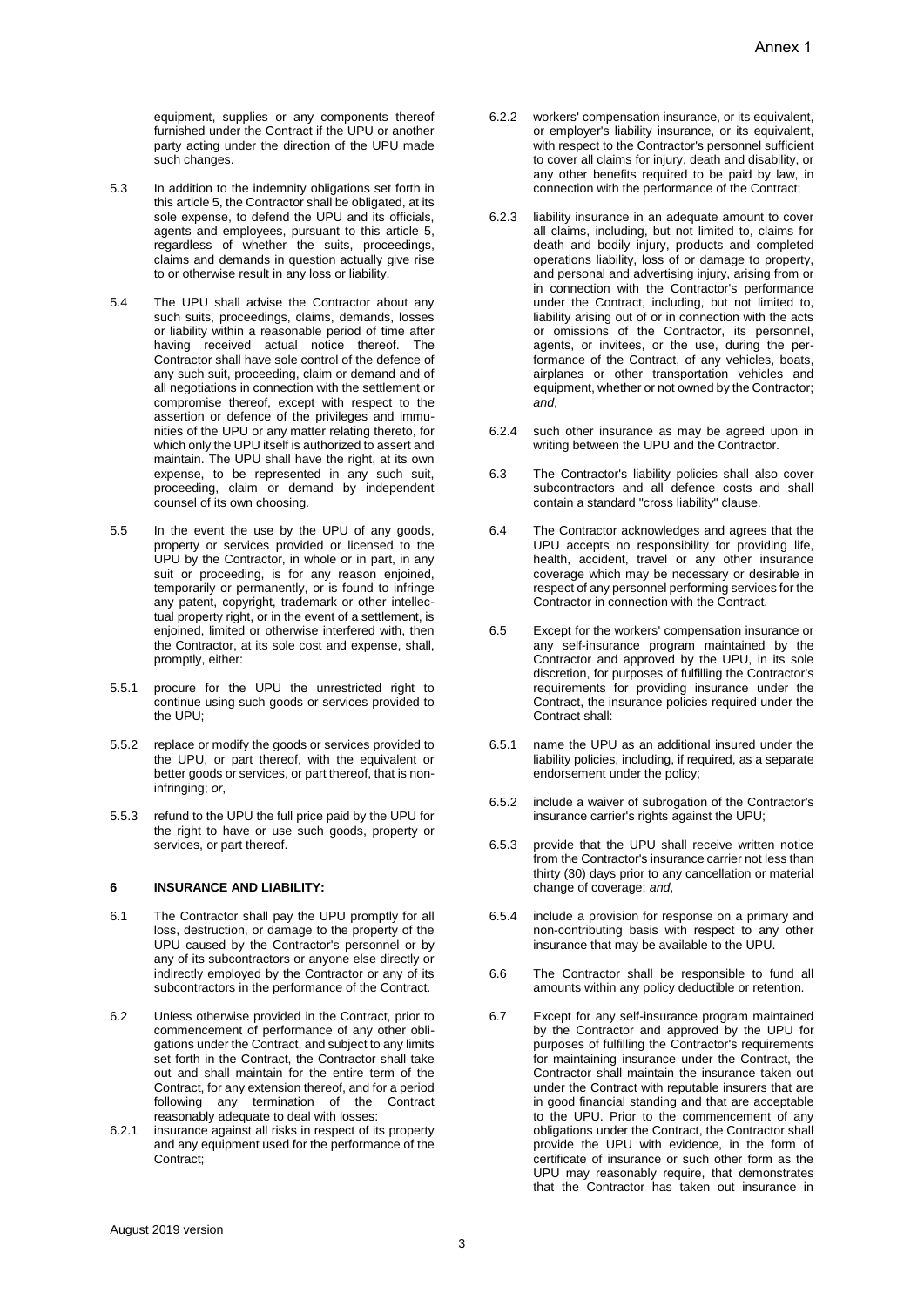equipment, supplies or any components thereof furnished under the Contract if the UPU or another party acting under the direction of the UPU made such changes.

- 5.3 In addition to the indemnity obligations set forth in this article 5, the Contractor shall be obligated, at its sole expense, to defend the UPU and its officials. agents and employees, pursuant to this article 5, regardless of whether the suits, proceedings, claims and demands in question actually give rise to or otherwise result in any loss or liability.
- 5.4 The UPU shall advise the Contractor about any such suits, proceedings, claims, demands, losses or liability within a reasonable period of time after having received actual notice thereof. The Contractor shall have sole control of the defence of any such suit, proceeding, claim or demand and of all negotiations in connection with the settlement or compromise thereof, except with respect to the assertion or defence of the privileges and immunities of the UPU or any matter relating thereto, for which only the UPU itself is authorized to assert and maintain. The UPU shall have the right, at its own expense, to be represented in any such suit, proceeding, claim or demand by independent counsel of its own choosing.
- 5.5 In the event the use by the UPU of any goods, property or services provided or licensed to the UPU by the Contractor, in whole or in part, in any suit or proceeding, is for any reason enjoined, temporarily or permanently, or is found to infringe any patent, copyright, trademark or other intellectual property right, or in the event of a settlement, is enjoined, limited or otherwise interfered with, then the Contractor, at its sole cost and expense, shall, promptly, either:
- 5.5.1 procure for the UPU the unrestricted right to continue using such goods or services provided to the UPU;
- 5.5.2 replace or modify the goods or services provided to the UPU, or part thereof, with the equivalent or better goods or services, or part thereof, that is noninfringing; *or*,
- 5.5.3 refund to the UPU the full price paid by the UPU for the right to have or use such goods, property or services, or part thereof.

#### **6 INSURANCE AND LIABILITY:**

- 6.1 The Contractor shall pay the UPU promptly for all loss, destruction, or damage to the property of the UPU caused by the Contractor's personnel or by any of its subcontractors or anyone else directly or indirectly employed by the Contractor or any of its subcontractors in the performance of the Contract.
- 6.2 Unless otherwise provided in the Contract, prior to commencement of performance of any other obligations under the Contract, and subject to any limits set forth in the Contract, the Contractor shall take out and shall maintain for the entire term of the Contract, for any extension thereof, and for a period following any termination of the Contract reasonably adequate to deal with losses:
- 6.2.1 insurance against all risks in respect of its property and any equipment used for the performance of the Contract;
- 6.2.2 workers' compensation insurance, or its equivalent, or employer's liability insurance, or its equivalent, with respect to the Contractor's personnel sufficient to cover all claims for injury, death and disability, or any other benefits required to be paid by law, in connection with the performance of the Contract;
- 6.2.3 liability insurance in an adequate amount to cover all claims, including, but not limited to, claims for death and bodily injury, products and completed operations liability, loss of or damage to property, and personal and advertising injury, arising from or in connection with the Contractor's performance under the Contract, including, but not limited to, liability arising out of or in connection with the acts or omissions of the Contractor, its personnel, agents, or invitees, or the use, during the performance of the Contract, of any vehicles, boats, airplanes or other transportation vehicles and equipment, whether or not owned by the Contractor; *and*,
- 6.2.4 such other insurance as may be agreed upon in writing between the UPU and the Contractor.
- 6.3 The Contractor's liability policies shall also cover subcontractors and all defence costs and shall contain a standard "cross liability" clause.
- 6.4 The Contractor acknowledges and agrees that the UPU accepts no responsibility for providing life, health, accident, travel or any other insurance coverage which may be necessary or desirable in respect of any personnel performing services for the Contractor in connection with the Contract.
- 6.5 Except for the workers' compensation insurance or any self-insurance program maintained by the Contractor and approved by the UPU, in its sole discretion, for purposes of fulfilling the Contractor's requirements for providing insurance under the Contract, the insurance policies required under the Contract shall:
- 6.5.1 name the UPU as an additional insured under the liability policies, including, if required, as a separate endorsement under the policy;
- 6.5.2 include a waiver of subrogation of the Contractor's insurance carrier's rights against the UPU;
- 6.5.3 provide that the UPU shall receive written notice from the Contractor's insurance carrier not less than thirty (30) days prior to any cancellation or material change of coverage; *and*,
- 6.5.4 include a provision for response on a primary and non-contributing basis with respect to any other insurance that may be available to the UPU.
- 6.6 The Contractor shall be responsible to fund all amounts within any policy deductible or retention.
- 6.7 Except for any self-insurance program maintained by the Contractor and approved by the UPU for purposes of fulfilling the Contractor's requirements for maintaining insurance under the Contract, the Contractor shall maintain the insurance taken out under the Contract with reputable insurers that are in good financial standing and that are acceptable to the UPU. Prior to the commencement of any obligations under the Contract, the Contractor shall provide the UPU with evidence, in the form of certificate of insurance or such other form as the UPU may reasonably require, that demonstrates that the Contractor has taken out insurance in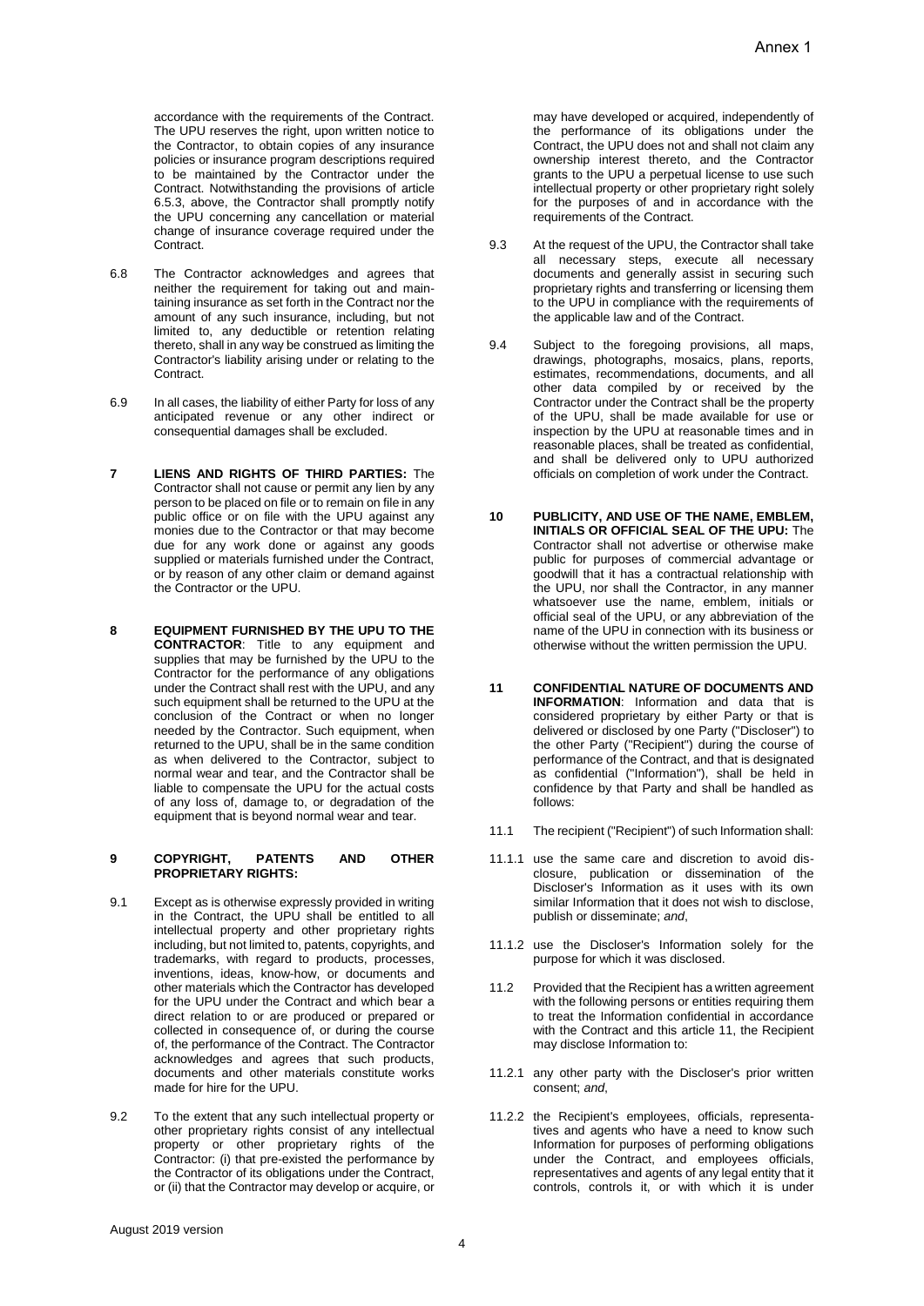accordance with the requirements of the Contract. The UPU reserves the right, upon written notice to the Contractor, to obtain copies of any insurance policies or insurance program descriptions required to be maintained by the Contractor under the Contract. Notwithstanding the provisions of article 6.5.3, above, the Contractor shall promptly notify the UPU concerning any cancellation or material change of insurance coverage required under the Contract.

- 6.8 The Contractor acknowledges and agrees that neither the requirement for taking out and maintaining insurance as set forth in the Contract nor the amount of any such insurance, including, but not limited to, any deductible or retention relating thereto, shall in any way be construed as limiting the Contractor's liability arising under or relating to the Contract.
- 6.9 In all cases, the liability of either Party for loss of any anticipated revenue or any other indirect or consequential damages shall be excluded.
- **7 LIENS AND RIGHTS OF THIRD PARTIES:** The Contractor shall not cause or permit any lien by any person to be placed on file or to remain on file in any public office or on file with the UPU against any monies due to the Contractor or that may become due for any work done or against any goods supplied or materials furnished under the Contract, or by reason of any other claim or demand against the Contractor or the UPU.
- **8 EQUIPMENT FURNISHED BY THE UPU TO THE CONTRACTOR**: Title to any equipment and supplies that may be furnished by the UPU to the Contractor for the performance of any obligations under the Contract shall rest with the UPU, and any such equipment shall be returned to the UPU at the conclusion of the Contract or when no longer needed by the Contractor. Such equipment, when returned to the UPU, shall be in the same condition as when delivered to the Contractor, subject to normal wear and tear, and the Contractor shall be liable to compensate the UPU for the actual costs of any loss of, damage to, or degradation of the equipment that is beyond normal wear and tear.

#### **9 COPYRIGHT, PATENTS AND OTHER PROPRIETARY RIGHTS:**

- 9.1 Except as is otherwise expressly provided in writing in the Contract, the UPU shall be entitled to all intellectual property and other proprietary rights including, but not limited to, patents, copyrights, and trademarks, with regard to products, processes, inventions, ideas, know-how, or documents and other materials which the Contractor has developed for the UPU under the Contract and which bear a direct relation to or are produced or prepared or collected in consequence of, or during the course of, the performance of the Contract. The Contractor acknowledges and agrees that such products, documents and other materials constitute works made for hire for the UPU.
- 9.2 To the extent that any such intellectual property or other proprietary rights consist of any intellectual property or other proprietary rights of the Contractor: (i) that pre-existed the performance by the Contractor of its obligations under the Contract, or (ii) that the Contractor may develop or acquire, or

may have developed or acquired, independently of the performance of its obligations under the Contract, the UPU does not and shall not claim any ownership interest thereto, and the Contractor grants to the UPU a perpetual license to use such intellectual property or other proprietary right solely for the purposes of and in accordance with the requirements of the Contract.

- 9.3 At the request of the UPU, the Contractor shall take all necessary steps, execute all necessary documents and generally assist in securing such proprietary rights and transferring or licensing them to the UPU in compliance with the requirements of the applicable law and of the Contract.
- 9.4 Subject to the foregoing provisions, all maps, drawings, photographs, mosaics, plans, reports, estimates, recommendations, documents, and all other data compiled by or received by the Contractor under the Contract shall be the property of the UPU, shall be made available for use or inspection by the UPU at reasonable times and in reasonable places, shall be treated as confidential, and shall be delivered only to UPU authorized officials on completion of work under the Contract.
- **10 PUBLICITY, AND USE OF THE NAME, EMBLEM, INITIALS OR OFFICIAL SEAL OF THE UPU:** The Contractor shall not advertise or otherwise make public for purposes of commercial advantage or goodwill that it has a contractual relationship with the UPU, nor shall the Contractor, in any manner whatsoever use the name, emblem, initials or official seal of the UPU, or any abbreviation of the name of the UPU in connection with its business or otherwise without the written permission the UPU.
- **11 CONFIDENTIAL NATURE OF DOCUMENTS AND INFORMATION**: Information and data that is considered proprietary by either Party or that is delivered or disclosed by one Party ("Discloser") to the other Party ("Recipient") during the course of performance of the Contract, and that is designated as confidential ("Information"), shall be held in confidence by that Party and shall be handled as follows:
- 11.1 The recipient ("Recipient") of such Information shall:
- 11.1.1 use the same care and discretion to avoid disclosure, publication or dissemination of the Discloser's Information as it uses with its own similar Information that it does not wish to disclose, publish or disseminate; *and*,
- 11.1.2 use the Discloser's Information solely for the purpose for which it was disclosed.
- 11.2 Provided that the Recipient has a written agreement with the following persons or entities requiring them to treat the Information confidential in accordance with the Contract and this article 11, the Recipient may disclose Information to:
- 11.2.1 any other party with the Discloser's prior written consent; *and*,
- 11.2.2 the Recipient's employees, officials, representatives and agents who have a need to know such Information for purposes of performing obligations under the Contract, and employees officials, representatives and agents of any legal entity that it controls, controls it, or with which it is under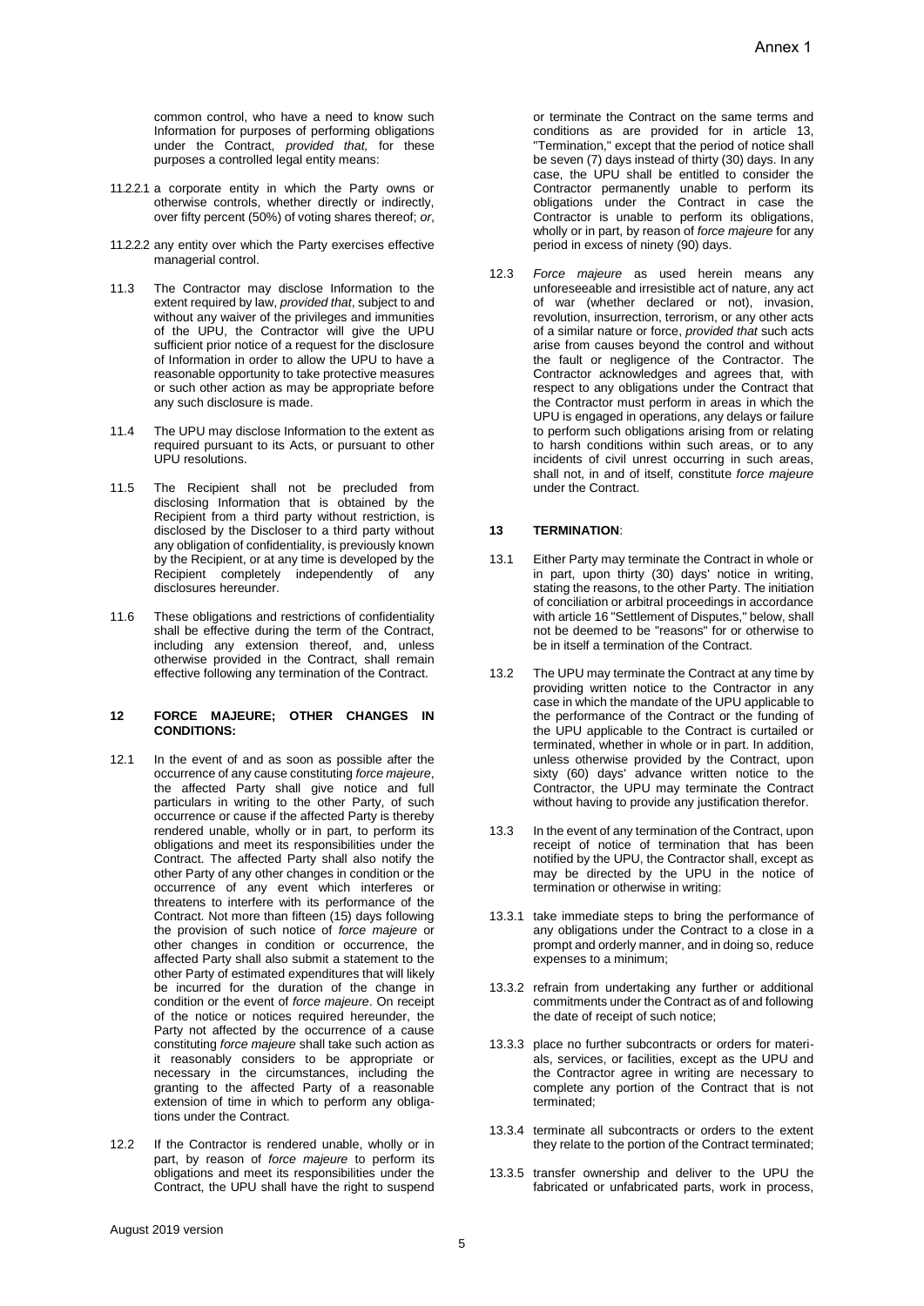common control, who have a need to know such Information for purposes of performing obligations under the Contract, *provided that,* for these purposes a controlled legal entity means:

- 11.2.2.1 a corporate entity in which the Party owns or otherwise controls, whether directly or indirectly, over fifty percent (50%) of voting shares thereof; *or*,
- 11.2.2.2 any entity over which the Party exercises effective managerial control.
- 11.3 The Contractor may disclose Information to the extent required by law, *provided that*, subject to and without any waiver of the privileges and immunities of the UPU, the Contractor will give the UPU sufficient prior notice of a request for the disclosure of Information in order to allow the UPU to have a reasonable opportunity to take protective measures or such other action as may be appropriate before any such disclosure is made.
- 11.4 The UPU may disclose Information to the extent as required pursuant to its Acts, or pursuant to other UPU resolutions.
- 11.5 The Recipient shall not be precluded from disclosing Information that is obtained by the Recipient from a third party without restriction, is disclosed by the Discloser to a third party without any obligation of confidentiality, is previously known by the Recipient, or at any time is developed by the Recipient completely independently of any disclosures hereunder.
- 11.6 These obligations and restrictions of confidentiality shall be effective during the term of the Contract, including any extension thereof, and, unless otherwise provided in the Contract, shall remain effective following any termination of the Contract.

#### **12 FORCE MAJEURE; OTHER CHANGES IN CONDITIONS:**

- 12.1 In the event of and as soon as possible after the occurrence of any cause constituting *force majeure*, the affected Party shall give notice and full particulars in writing to the other Party, of such occurrence or cause if the affected Party is thereby rendered unable, wholly or in part, to perform its obligations and meet its responsibilities under the Contract. The affected Party shall also notify the other Party of any other changes in condition or the occurrence of any event which interferes or threatens to interfere with its performance of the Contract. Not more than fifteen (15) days following the provision of such notice of *force majeure* or other changes in condition or occurrence, the affected Party shall also submit a statement to the other Party of estimated expenditures that will likely be incurred for the duration of the change in condition or the event of *force majeure*. On receipt of the notice or notices required hereunder, the Party not affected by the occurrence of a cause constituting *force majeure* shall take such action as it reasonably considers to be appropriate or necessary in the circumstances, including the granting to the affected Party of a reasonable extension of time in which to perform any obligations under the Contract.
- 12.2 If the Contractor is rendered unable, wholly or in part, by reason of *force majeure* to perform its obligations and meet its responsibilities under the Contract, the UPU shall have the right to suspend

or terminate the Contract on the same terms and conditions as are provided for in article 13, "Termination," except that the period of notice shall be seven (7) days instead of thirty (30) days. In any case, the UPU shall be entitled to consider the Contractor permanently unable to perform its obligations under the Contract in case the Contractor is unable to perform its obligations, wholly or in part, by reason of *force majeure* for any period in excess of ninety (90) days.

12.3 *Force majeure* as used herein means any unforeseeable and irresistible act of nature, any act of war (whether declared or not), invasion, revolution, insurrection, terrorism, or any other acts of a similar nature or force, *provided that* such acts arise from causes beyond the control and without the fault or negligence of the Contractor. The Contractor acknowledges and agrees that, with respect to any obligations under the Contract that the Contractor must perform in areas in which the UPU is engaged in operations, any delays or failure to perform such obligations arising from or relating to harsh conditions within such areas, or to any incidents of civil unrest occurring in such areas, shall not, in and of itself, constitute *force majeure*  under the Contract.

## **13 TERMINATION**:

- 13.1 Either Party may terminate the Contract in whole or in part, upon thirty (30) days' notice in writing, stating the reasons, to the other Party. The initiation of conciliation or arbitral proceedings in accordance with article 16 "Settlement of Disputes," below, shall not be deemed to be "reasons" for or otherwise to be in itself a termination of the Contract.
- 13.2 The UPU may terminate the Contract at any time by providing written notice to the Contractor in any case in which the mandate of the UPU applicable to the performance of the Contract or the funding of the UPU applicable to the Contract is curtailed or terminated, whether in whole or in part. In addition, unless otherwise provided by the Contract, upon sixty (60) days' advance written notice to the Contractor, the UPU may terminate the Contract without having to provide any justification therefor.
- 13.3 In the event of any termination of the Contract, upon receipt of notice of termination that has been notified by the UPU, the Contractor shall, except as may be directed by the UPU in the notice of termination or otherwise in writing:
- 13.3.1 take immediate steps to bring the performance of any obligations under the Contract to a close in a prompt and orderly manner, and in doing so, reduce expenses to a minimum;
- 13.3.2 refrain from undertaking any further or additional commitments under the Contract as of and following the date of receipt of such notice;
- 13.3.3 place no further subcontracts or orders for materials, services, or facilities, except as the UPU and the Contractor agree in writing are necessary to complete any portion of the Contract that is not terminated;
- 13.3.4 terminate all subcontracts or orders to the extent they relate to the portion of the Contract terminated;
- 13.3.5 transfer ownership and deliver to the UPU the fabricated or unfabricated parts, work in process,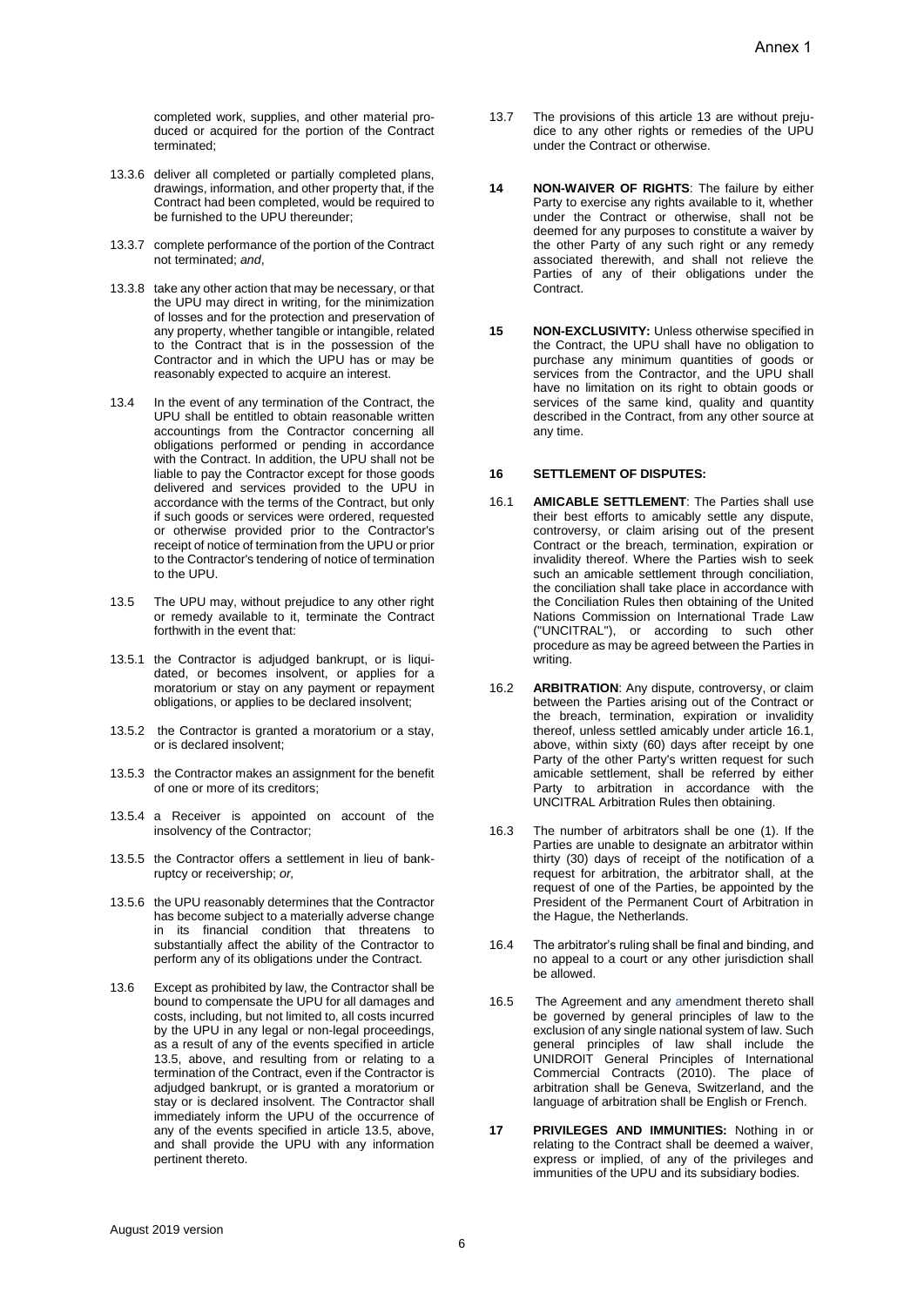completed work, supplies, and other material produced or acquired for the portion of the Contract terminated;

- 13.3.6 deliver all completed or partially completed plans, drawings, information, and other property that, if the Contract had been completed, would be required to be furnished to the UPU thereunder:
- 13.3.7 complete performance of the portion of the Contract not terminated; *and*,
- 13.3.8 take any other action that may be necessary, or that the UPU may direct in writing, for the minimization of losses and for the protection and preservation of any property, whether tangible or intangible, related to the Contract that is in the possession of the Contractor and in which the UPU has or may be reasonably expected to acquire an interest.
- 13.4 In the event of any termination of the Contract, the UPU shall be entitled to obtain reasonable written accountings from the Contractor concerning all obligations performed or pending in accordance with the Contract. In addition, the UPU shall not be liable to pay the Contractor except for those goods delivered and services provided to the UPU in accordance with the terms of the Contract, but only if such goods or services were ordered, requested or otherwise provided prior to the Contractor's receipt of notice of termination from the UPU or prior to the Contractor's tendering of notice of termination to the UPU.
- 13.5 The UPU may, without prejudice to any other right or remedy available to it, terminate the Contract forthwith in the event that:
- 13.5.1 the Contractor is adjudged bankrupt, or is liquidated, or becomes insolvent, or applies for a moratorium or stay on any payment or repayment obligations, or applies to be declared insolvent;
- 13.5.2 the Contractor is granted a moratorium or a stay, or is declared insolvent;
- 13.5.3 the Contractor makes an assignment for the benefit of one or more of its creditors;
- 13.5.4 a Receiver is appointed on account of the insolvency of the Contractor;
- 13.5.5 the Contractor offers a settlement in lieu of bankruptcy or receivership; *or,*
- 13.5.6 the UPU reasonably determines that the Contractor has become subject to a materially adverse change in its financial condition that threatens to substantially affect the ability of the Contractor to perform any of its obligations under the Contract.
- 13.6 Except as prohibited by law, the Contractor shall be bound to compensate the UPU for all damages and costs, including, but not limited to, all costs incurred by the UPU in any legal or non-legal proceedings, as a result of any of the events specified in article 13.5, above, and resulting from or relating to a termination of the Contract, even if the Contractor is adjudged bankrupt, or is granted a moratorium or stay or is declared insolvent. The Contractor shall immediately inform the UPU of the occurrence of any of the events specified in article 13.5, above, and shall provide the UPU with any information pertinent thereto.
- 13.7 The provisions of this article 13 are without prejudice to any other rights or remedies of the UPU under the Contract or otherwise.
- **14 NON-WAIVER OF RIGHTS**: The failure by either Party to exercise any rights available to it, whether under the Contract or otherwise, shall not be deemed for any purposes to constitute a waiver by the other Party of any such right or any remedy associated therewith, and shall not relieve the Parties of any of their obligations under the Contract.
- **15 NON-EXCLUSIVITY:** Unless otherwise specified in the Contract, the UPU shall have no obligation to purchase any minimum quantities of goods or services from the Contractor, and the UPU shall have no limitation on its right to obtain goods or services of the same kind, quality and quantity described in the Contract, from any other source at any time.

#### **16 SETTLEMENT OF DISPUTES:**

- 16.1 **AMICABLE SETTLEMENT**: The Parties shall use their best efforts to amicably settle any dispute, controversy, or claim arising out of the present Contract or the breach, termination, expiration or invalidity thereof. Where the Parties wish to seek such an amicable settlement through conciliation, the conciliation shall take place in accordance with the Conciliation Rules then obtaining of the United Nations Commission on International Trade Law ("UNCITRAL"), or according to such other procedure as may be agreed between the Parties in writing.
- 16.2 **ARBITRATION**: Any dispute, controversy, or claim between the Parties arising out of the Contract or the breach, termination, expiration or invalidity thereof, unless settled amicably under article 16.1, above, within sixty (60) days after receipt by one Party of the other Party's written request for such amicable settlement, shall be referred by either Party to arbitration in accordance with the UNCITRAL Arbitration Rules then obtaining.
- 16.3 The number of arbitrators shall be one (1). If the Parties are unable to designate an arbitrator within thirty (30) days of receipt of the notification of a request for arbitration, the arbitrator shall, at the request of one of the Parties, be appointed by the President of the Permanent Court of Arbitration in the Hague, the Netherlands.
- 16.4 The arbitrator's ruling shall be final and binding, and no appeal to a court or any other jurisdiction shall be allowed.
- 16.5 The Agreement and any amendment thereto shall be governed by general principles of law to the exclusion of any single national system of law. Such general principles of law shall include the UNIDROIT General Principles of International Commercial Contracts (2010). The place of arbitration shall be Geneva, Switzerland, and the language of arbitration shall be English or French.
- **17 PRIVILEGES AND IMMUNITIES:** Nothing in or relating to the Contract shall be deemed a waiver, express or implied, of any of the privileges and immunities of the UPU and its subsidiary bodies.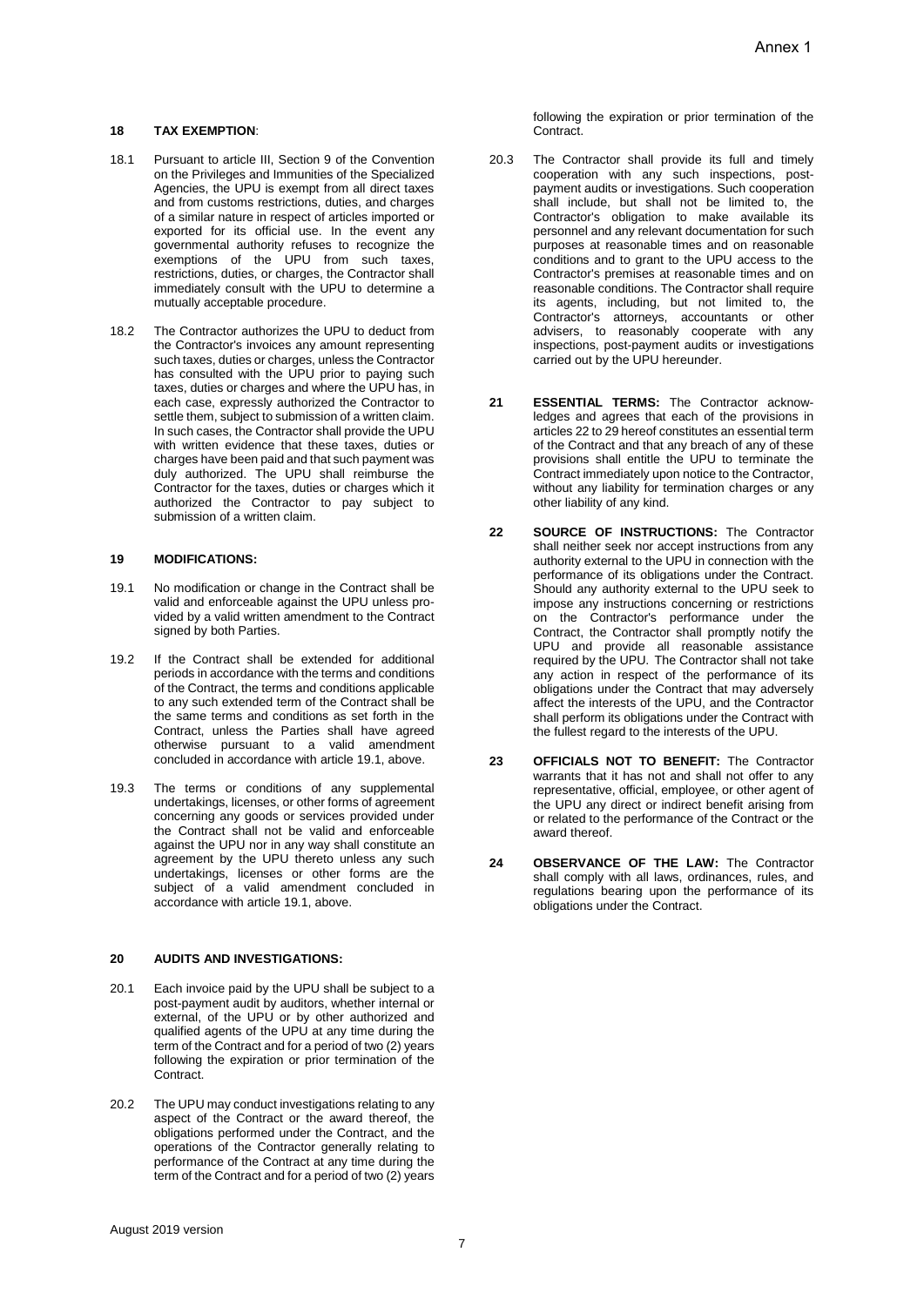# **18 TAX EXEMPTION**:

- 18.1 Pursuant to article III, Section 9 of the Convention on the Privileges and Immunities of the Specialized Agencies, the UPU is exempt from all direct taxes and from customs restrictions, duties, and charges of a similar nature in respect of articles imported or exported for its official use. In the event any governmental authority refuses to recognize the exemptions of the UPU from such taxes, restrictions, duties, or charges, the Contractor shall immediately consult with the UPU to determine a mutually acceptable procedure.
- 18.2 The Contractor authorizes the UPU to deduct from the Contractor's invoices any amount representing such taxes, duties or charges, unless the Contractor has consulted with the UPU prior to paying such taxes, duties or charges and where the UPU has, in each case, expressly authorized the Contractor to settle them, subject to submission of a written claim. In such cases, the Contractor shall provide the UPU with written evidence that these taxes, duties or charges have been paid and that such payment was duly authorized. The UPU shall reimburse the Contractor for the taxes, duties or charges which it authorized the Contractor to pay subject to submission of a written claim.

## **19 MODIFICATIONS:**

- 19.1 No modification or change in the Contract shall be valid and enforceable against the UPU unless provided by a valid written amendment to the Contract signed by both Parties.
- 19.2 If the Contract shall be extended for additional periods in accordance with the terms and conditions of the Contract, the terms and conditions applicable to any such extended term of the Contract shall be the same terms and conditions as set forth in the Contract, unless the Parties shall have agreed otherwise pursuant to a valid amendment concluded in accordance with article 19.1, above.
- 19.3 The terms or conditions of any supplemental undertakings, licenses, or other forms of agreement concerning any goods or services provided under the Contract shall not be valid and enforceable against the UPU nor in any way shall constitute an agreement by the UPU thereto unless any such undertakings, licenses or other forms are the subject of a valid amendment concluded in accordance with article 19.1, above.

## **20 AUDITS AND INVESTIGATIONS:**

- 20.1 Each invoice paid by the UPU shall be subject to a post-payment audit by auditors, whether internal or external, of the UPU or by other authorized and qualified agents of the UPU at any time during the term of the Contract and for a period of two (2) years following the expiration or prior termination of the Contract.
- 20.2 The UPU may conduct investigations relating to any aspect of the Contract or the award thereof, the obligations performed under the Contract, and the operations of the Contractor generally relating to performance of the Contract at any time during the term of the Contract and for a period of two (2) years

following the expiration or prior termination of the Contract.

- 20.3 The Contractor shall provide its full and timely cooperation with any such inspections, postpayment audits or investigations. Such cooperation shall include, but shall not be limited to, the Contractor's obligation to make available its personnel and any relevant documentation for such purposes at reasonable times and on reasonable conditions and to grant to the UPU access to the Contractor's premises at reasonable times and on reasonable conditions. The Contractor shall require its agents, including, but not limited to, the Contractor's attorneys, accountants or other advisers, to reasonably cooperate with any inspections, post-payment audits or investigations carried out by the UPU hereunder.
- **21 ESSENTIAL TERMS:** The Contractor acknowledges and agrees that each of the provisions in articles 22 to 29 hereof constitutes an essential term of the Contract and that any breach of any of these provisions shall entitle the UPU to terminate the Contract immediately upon notice to the Contractor, without any liability for termination charges or any other liability of any kind.
- **22 SOURCE OF INSTRUCTIONS:** The Contractor shall neither seek nor accept instructions from any authority external to the UPU in connection with the performance of its obligations under the Contract. Should any authority external to the UPU seek to impose any instructions concerning or restrictions on the Contractor's performance under the Contract, the Contractor shall promptly notify the UPU and provide all reasonable assistance required by the UPU. The Contractor shall not take any action in respect of the performance of its obligations under the Contract that may adversely affect the interests of the UPU, and the Contractor shall perform its obligations under the Contract with the fullest regard to the interests of the UPU.
- **23 OFFICIALS NOT TO BENEFIT:** The Contractor warrants that it has not and shall not offer to any representative, official, employee, or other agent of the UPU any direct or indirect benefit arising from or related to the performance of the Contract or the award thereof.
- **24 OBSERVANCE OF THE LAW:** The Contractor shall comply with all laws, ordinances, rules, and regulations bearing upon the performance of its obligations under the Contract.